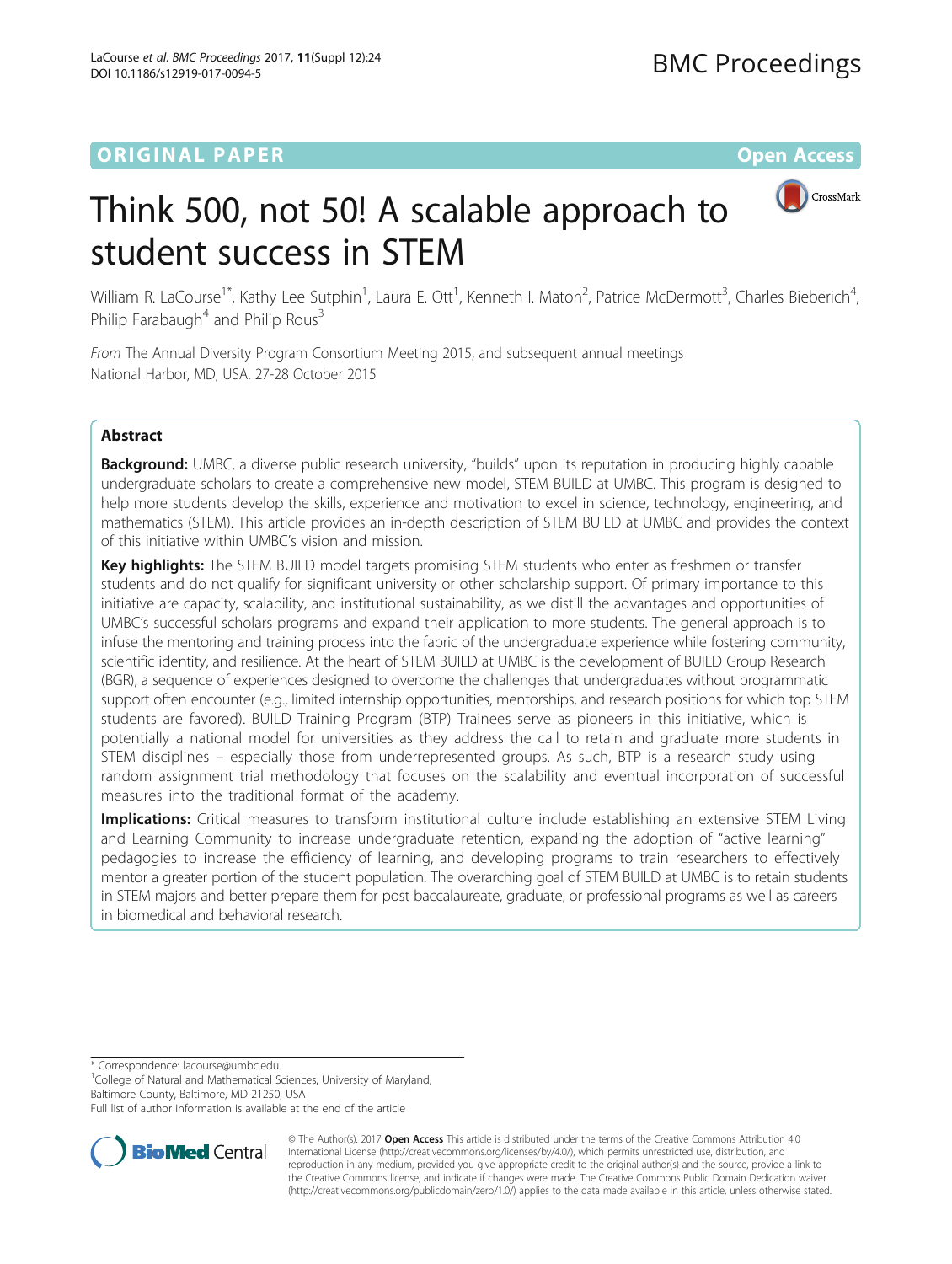### **ORIGINAL PAPER CONSERVATION CONSERVATION CONSERVATION CONSERVATION CONSERVATION CONSERVATION CONSERVATION**



# Think 500, not 50! A scalable approach to student success in STEM

William R. LaCourse<sup>1\*</sup>, Kathy Lee Sutphin<sup>1</sup>, Laura E. Ott<sup>1</sup>, Kenneth I. Maton<sup>2</sup>, Patrice McDermott<sup>3</sup>, Charles Bieberich<sup>4</sup> , Philip Farabaugh<sup>4</sup> and Philip Rous<sup>3</sup>

From The Annual Diversity Program Consortium Meeting 2015, and subsequent annual meetings National Harbor, MD, USA. 27-28 October 2015

### Abstract

Background: UMBC, a diverse public research university, "builds" upon its reputation in producing highly capable undergraduate scholars to create a comprehensive new model, STEM BUILD at UMBC. This program is designed to help more students develop the skills, experience and motivation to excel in science, technology, engineering, and mathematics (STEM). This article provides an in-depth description of STEM BUILD at UMBC and provides the context of this initiative within UMBC's vision and mission.

Key highlights: The STEM BUILD model targets promising STEM students who enter as freshmen or transfer students and do not qualify for significant university or other scholarship support. Of primary importance to this initiative are capacity, scalability, and institutional sustainability, as we distill the advantages and opportunities of UMBC's successful scholars programs and expand their application to more students. The general approach is to infuse the mentoring and training process into the fabric of the undergraduate experience while fostering community, scientific identity, and resilience. At the heart of STEM BUILD at UMBC is the development of BUILD Group Research (BGR), a sequence of experiences designed to overcome the challenges that undergraduates without programmatic support often encounter (e.g., limited internship opportunities, mentorships, and research positions for which top STEM students are favored). BUILD Training Program (BTP) Trainees serve as pioneers in this initiative, which is potentially a national model for universities as they address the call to retain and graduate more students in STEM disciplines – especially those from underrepresented groups. As such, BTP is a research study using random assignment trial methodology that focuses on the scalability and eventual incorporation of successful measures into the traditional format of the academy.

Implications: Critical measures to transform institutional culture include establishing an extensive STEM Living and Learning Community to increase undergraduate retention, expanding the adoption of "active learning" pedagogies to increase the efficiency of learning, and developing programs to train researchers to effectively mentor a greater portion of the student population. The overarching goal of STEM BUILD at UMBC is to retain students in STEM majors and better prepare them for post baccalaureate, graduate, or professional programs as well as careers in biomedical and behavioral research.

\* Correspondence: [lacourse@umbc.edu](mailto:lacourse@umbc.edu) <sup>1</sup>

<sup>1</sup>College of Natural and Mathematical Sciences, University of Maryland, Baltimore County, Baltimore, MD 21250, USA

Full list of author information is available at the end of the article



© The Author(s). 2017 **Open Access** This article is distributed under the terms of the Creative Commons Attribution 4.0 International License [\(http://creativecommons.org/licenses/by/4.0/](http://creativecommons.org/licenses/by/4.0/)), which permits unrestricted use, distribution, and reproduction in any medium, provided you give appropriate credit to the original author(s) and the source, provide a link to the Creative Commons license, and indicate if changes were made. The Creative Commons Public Domain Dedication waiver [\(http://creativecommons.org/publicdomain/zero/1.0/](http://creativecommons.org/publicdomain/zero/1.0/)) applies to the data made available in this article, unless otherwise stated.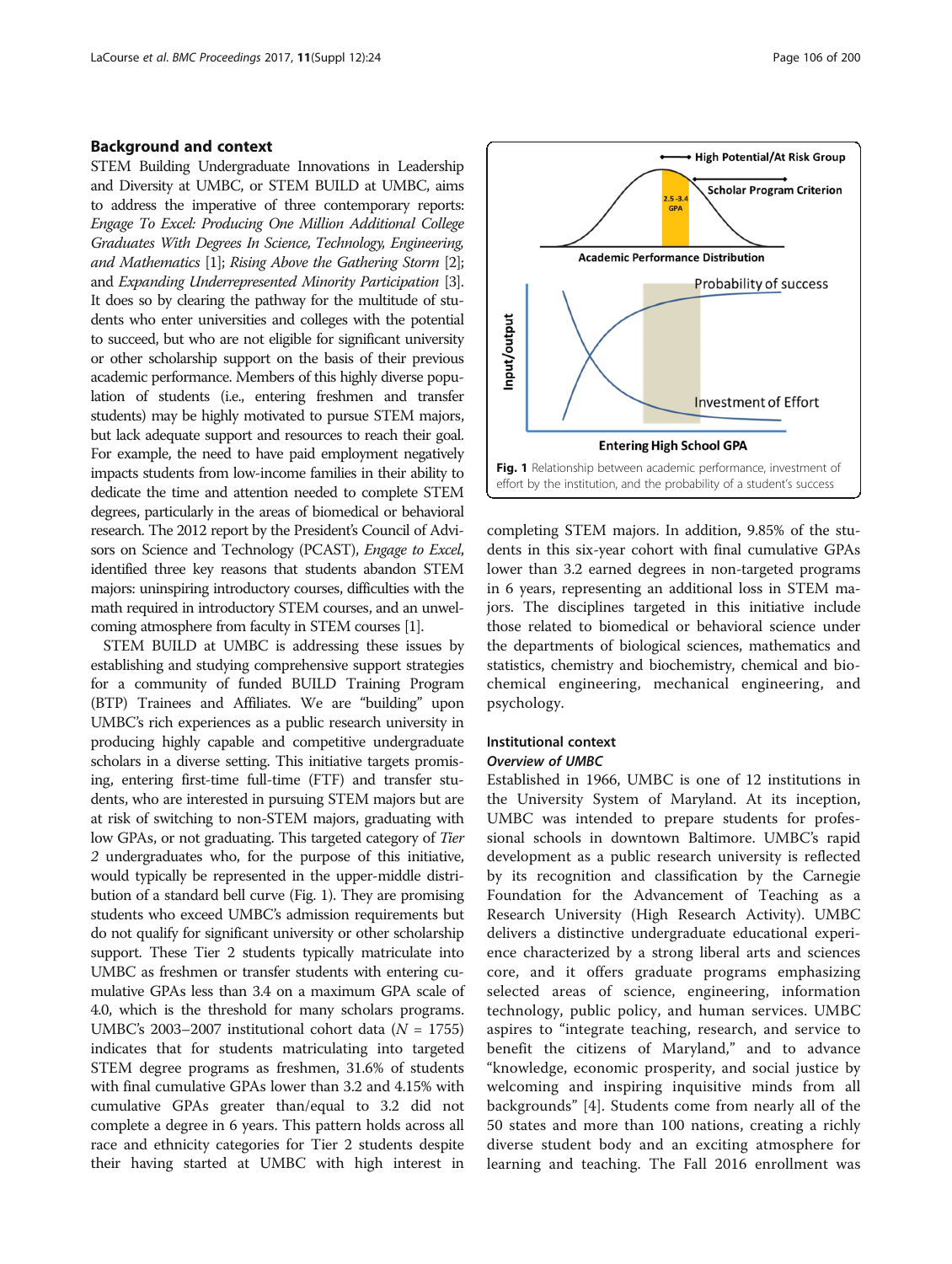#### <span id="page-1-0"></span>Background and context

STEM Building Undergraduate Innovations in Leadership and Diversity at UMBC, or STEM BUILD at UMBC, aims to address the imperative of three contemporary reports: Engage To Excel: Producing One Million Additional College Graduates With Degrees In Science, Technology, Engineering, and Mathematics [\[1\]](#page-10-0); Rising Above the Gathering Storm [\[2\]](#page-10-0); and Expanding Underrepresented Minority Participation [\[3\]](#page-10-0). It does so by clearing the pathway for the multitude of students who enter universities and colleges with the potential to succeed, but who are not eligible for significant university or other scholarship support on the basis of their previous academic performance. Members of this highly diverse population of students (i.e., entering freshmen and transfer students) may be highly motivated to pursue STEM majors, but lack adequate support and resources to reach their goal. For example, the need to have paid employment negatively impacts students from low-income families in their ability to dedicate the time and attention needed to complete STEM degrees, particularly in the areas of biomedical or behavioral research. The 2012 report by the President's Council of Advisors on Science and Technology (PCAST), Engage to Excel, identified three key reasons that students abandon STEM majors: uninspiring introductory courses, difficulties with the math required in introductory STEM courses, and an unwelcoming atmosphere from faculty in STEM courses [\[1\]](#page-10-0).

STEM BUILD at UMBC is addressing these issues by establishing and studying comprehensive support strategies for a community of funded BUILD Training Program (BTP) Trainees and Affiliates. We are "building" upon UMBC's rich experiences as a public research university in producing highly capable and competitive undergraduate scholars in a diverse setting. This initiative targets promising, entering first-time full-time (FTF) and transfer students, who are interested in pursuing STEM majors but are at risk of switching to non-STEM majors, graduating with low GPAs, or not graduating. This targeted category of Tier 2 undergraduates who, for the purpose of this initiative, would typically be represented in the upper-middle distribution of a standard bell curve (Fig. 1). They are promising students who exceed UMBC's admission requirements but do not qualify for significant university or other scholarship support. These Tier 2 students typically matriculate into UMBC as freshmen or transfer students with entering cumulative GPAs less than 3.4 on a maximum GPA scale of 4.0, which is the threshold for many scholars programs. UMBC's 2003–2007 institutional cohort data ( $N = 1755$ ) indicates that for students matriculating into targeted STEM degree programs as freshmen, 31.6% of students with final cumulative GPAs lower than 3.2 and 4.15% with cumulative GPAs greater than/equal to 3.2 did not complete a degree in 6 years. This pattern holds across all race and ethnicity categories for Tier 2 students despite their having started at UMBC with high interest in



completing STEM majors. In addition, 9.85% of the students in this six-year cohort with final cumulative GPAs lower than 3.2 earned degrees in non-targeted programs in 6 years, representing an additional loss in STEM majors. The disciplines targeted in this initiative include those related to biomedical or behavioral science under the departments of biological sciences, mathematics and statistics, chemistry and biochemistry, chemical and biochemical engineering, mechanical engineering, and psychology.

### Institutional context

Established in 1966, UMBC is one of 12 institutions in the University System of Maryland. At its inception, UMBC was intended to prepare students for professional schools in downtown Baltimore. UMBC's rapid development as a public research university is reflected by its recognition and classification by the Carnegie Foundation for the Advancement of Teaching as a Research University (High Research Activity). UMBC delivers a distinctive undergraduate educational experience characterized by a strong liberal arts and sciences core, and it offers graduate programs emphasizing selected areas of science, engineering, information technology, public policy, and human services. UMBC aspires to "integrate teaching, research, and service to benefit the citizens of Maryland," and to advance "knowledge, economic prosperity, and social justice by welcoming and inspiring inquisitive minds from all backgrounds" [\[4](#page-10-0)]. Students come from nearly all of the 50 states and more than 100 nations, creating a richly diverse student body and an exciting atmosphere for learning and teaching. The Fall 2016 enrollment was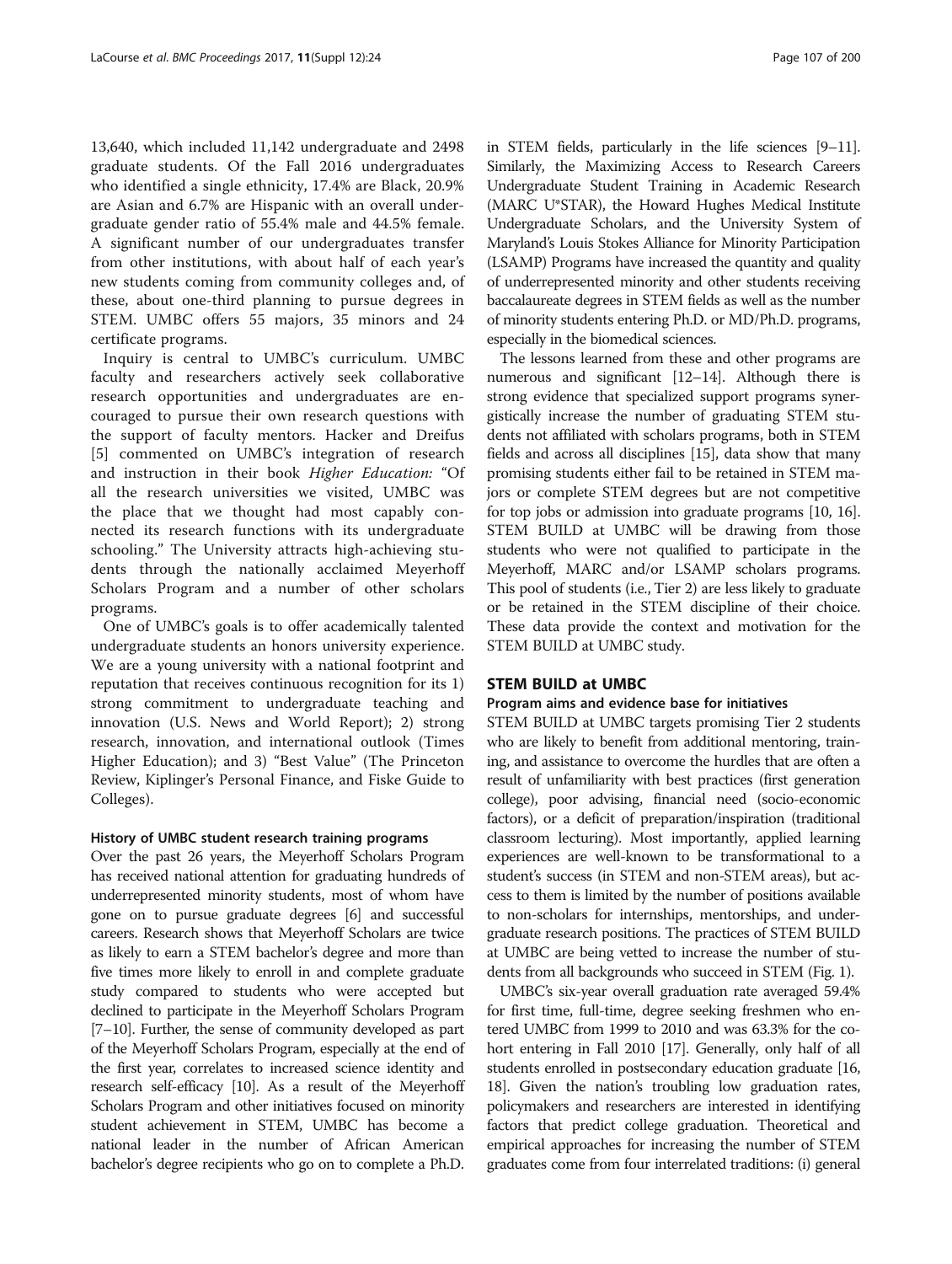13,640, which included 11,142 undergraduate and 2498 graduate students. Of the Fall 2016 undergraduates who identified a single ethnicity, 17.4% are Black, 20.9% are Asian and 6.7% are Hispanic with an overall undergraduate gender ratio of 55.4% male and 44.5% female. A significant number of our undergraduates transfer from other institutions, with about half of each year's new students coming from community colleges and, of these, about one-third planning to pursue degrees in STEM. UMBC offers 55 majors, 35 minors and 24 certificate programs.

Inquiry is central to UMBC's curriculum. UMBC faculty and researchers actively seek collaborative research opportunities and undergraduates are encouraged to pursue their own research questions with the support of faculty mentors. Hacker and Dreifus [[5\]](#page-10-0) commented on UMBC's integration of research and instruction in their book Higher Education: "Of all the research universities we visited, UMBC was the place that we thought had most capably connected its research functions with its undergraduate schooling." The University attracts high-achieving students through the nationally acclaimed Meyerhoff Scholars Program and a number of other scholars programs.

One of UMBC's goals is to offer academically talented undergraduate students an honors university experience. We are a young university with a national footprint and reputation that receives continuous recognition for its 1) strong commitment to undergraduate teaching and innovation (U.S. News and World Report); 2) strong research, innovation, and international outlook (Times Higher Education); and 3) "Best Value" (The Princeton Review, Kiplinger's Personal Finance, and Fiske Guide to Colleges).

#### History of UMBC student research training programs

Over the past 26 years, the Meyerhoff Scholars Program has received national attention for graduating hundreds of underrepresented minority students, most of whom have gone on to pursue graduate degrees [[6](#page-10-0)] and successful careers. Research shows that Meyerhoff Scholars are twice as likely to earn a STEM bachelor's degree and more than five times more likely to enroll in and complete graduate study compared to students who were accepted but declined to participate in the Meyerhoff Scholars Program [[7](#page-10-0)–[10\]](#page-10-0). Further, the sense of community developed as part of the Meyerhoff Scholars Program, especially at the end of the first year, correlates to increased science identity and research self-efficacy [[10](#page-10-0)]. As a result of the Meyerhoff Scholars Program and other initiatives focused on minority student achievement in STEM, UMBC has become a national leader in the number of African American bachelor's degree recipients who go on to complete a Ph.D.

in STEM fields, particularly in the life sciences [[9](#page-10-0)–[11](#page-10-0)]. Similarly, the Maximizing Access to Research Careers Undergraduate Student Training in Academic Research (MARC U\*STAR), the Howard Hughes Medical Institute Undergraduate Scholars, and the University System of Maryland's Louis Stokes Alliance for Minority Participation (LSAMP) Programs have increased the quantity and quality of underrepresented minority and other students receiving baccalaureate degrees in STEM fields as well as the number of minority students entering Ph.D. or MD/Ph.D. programs, especially in the biomedical sciences.

The lessons learned from these and other programs are numerous and significant [[12](#page-10-0)–[14\]](#page-10-0). Although there is strong evidence that specialized support programs synergistically increase the number of graduating STEM students not affiliated with scholars programs, both in STEM fields and across all disciplines [\[15\]](#page-10-0), data show that many promising students either fail to be retained in STEM majors or complete STEM degrees but are not competitive for top jobs or admission into graduate programs [\[10, 16](#page-10-0)]. STEM BUILD at UMBC will be drawing from those students who were not qualified to participate in the Meyerhoff, MARC and/or LSAMP scholars programs. This pool of students (i.e., Tier 2) are less likely to graduate or be retained in the STEM discipline of their choice. These data provide the context and motivation for the STEM BUILD at UMBC study.

#### STEM BUILD at UMBC

#### Program aims and evidence base for initiatives

STEM BUILD at UMBC targets promising Tier 2 students who are likely to benefit from additional mentoring, training, and assistance to overcome the hurdles that are often a result of unfamiliarity with best practices (first generation college), poor advising, financial need (socio-economic factors), or a deficit of preparation/inspiration (traditional classroom lecturing). Most importantly, applied learning experiences are well-known to be transformational to a student's success (in STEM and non-STEM areas), but access to them is limited by the number of positions available to non-scholars for internships, mentorships, and undergraduate research positions. The practices of STEM BUILD at UMBC are being vetted to increase the number of students from all backgrounds who succeed in STEM (Fig. [1\)](#page-1-0).

UMBC's six-year overall graduation rate averaged 59.4% for first time, full-time, degree seeking freshmen who entered UMBC from 1999 to 2010 and was 63.3% for the cohort entering in Fall 2010 [\[17](#page-10-0)]. Generally, only half of all students enrolled in postsecondary education graduate [\[16](#page-10-0), [18](#page-10-0)]. Given the nation's troubling low graduation rates, policymakers and researchers are interested in identifying factors that predict college graduation. Theoretical and empirical approaches for increasing the number of STEM graduates come from four interrelated traditions: (i) general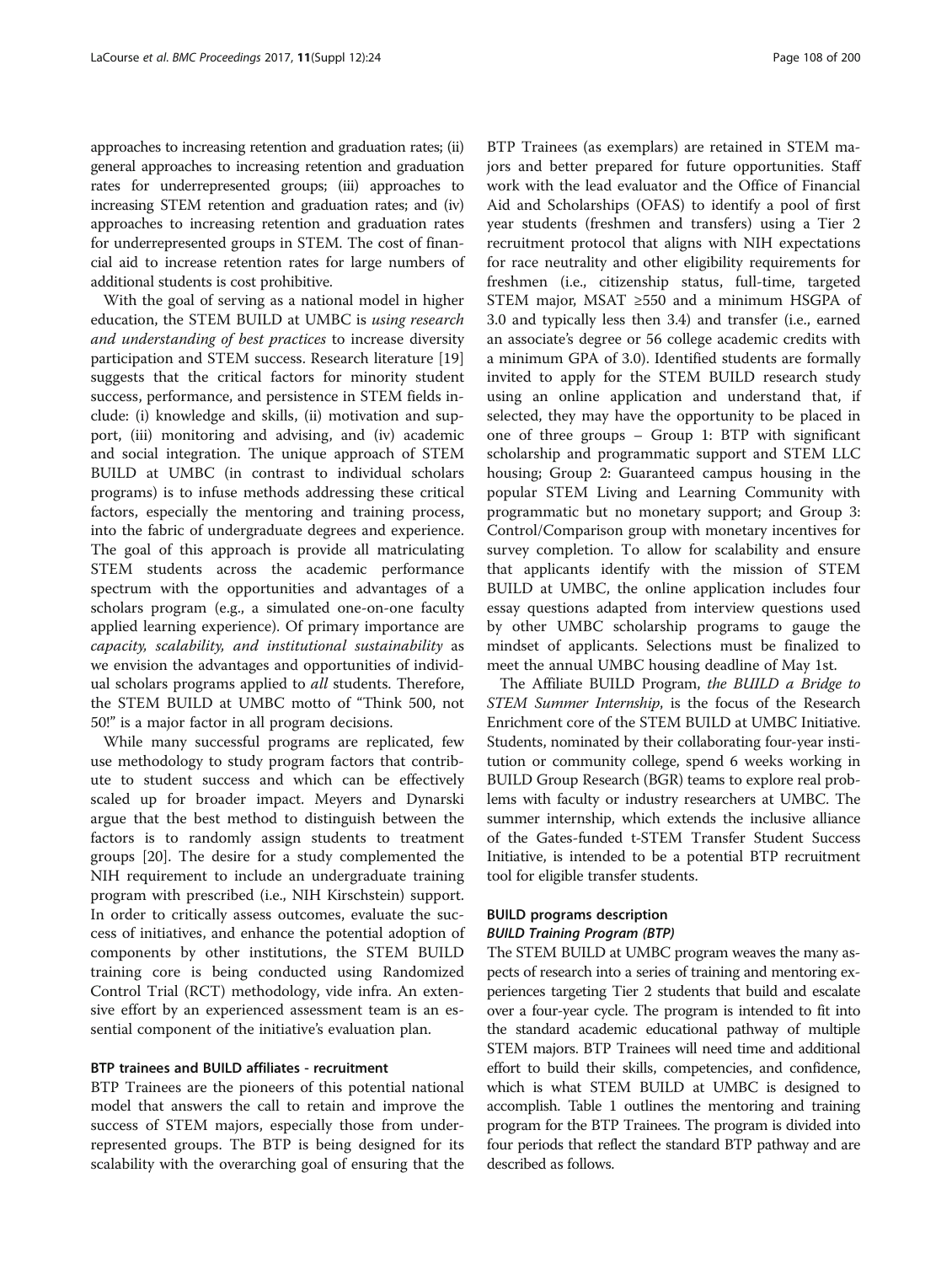approaches to increasing retention and graduation rates; (ii) general approaches to increasing retention and graduation rates for underrepresented groups; (iii) approaches to increasing STEM retention and graduation rates; and (iv) approaches to increasing retention and graduation rates for underrepresented groups in STEM. The cost of financial aid to increase retention rates for large numbers of additional students is cost prohibitive.

With the goal of serving as a national model in higher education, the STEM BUILD at UMBC is using research and understanding of best practices to increase diversity participation and STEM success. Research literature [[19](#page-10-0)] suggests that the critical factors for minority student success, performance, and persistence in STEM fields include: (i) knowledge and skills, (ii) motivation and support, (iii) monitoring and advising, and (iv) academic and social integration. The unique approach of STEM BUILD at UMBC (in contrast to individual scholars programs) is to infuse methods addressing these critical factors, especially the mentoring and training process, into the fabric of undergraduate degrees and experience. The goal of this approach is provide all matriculating STEM students across the academic performance spectrum with the opportunities and advantages of a scholars program (e.g., a simulated one-on-one faculty applied learning experience). Of primary importance are capacity, scalability, and institutional sustainability as we envision the advantages and opportunities of individual scholars programs applied to *all* students. Therefore, the STEM BUILD at UMBC motto of "Think 500, not 50!" is a major factor in all program decisions.

While many successful programs are replicated, few use methodology to study program factors that contribute to student success and which can be effectively scaled up for broader impact. Meyers and Dynarski argue that the best method to distinguish between the factors is to randomly assign students to treatment groups [\[20\]](#page-10-0). The desire for a study complemented the NIH requirement to include an undergraduate training program with prescribed (i.e., NIH Kirschstein) support. In order to critically assess outcomes, evaluate the success of initiatives, and enhance the potential adoption of components by other institutions, the STEM BUILD training core is being conducted using Randomized Control Trial (RCT) methodology, vide infra. An extensive effort by an experienced assessment team is an essential component of the initiative's evaluation plan.

#### BTP trainees and BUILD affiliates - recruitment

BTP Trainees are the pioneers of this potential national model that answers the call to retain and improve the success of STEM majors, especially those from underrepresented groups. The BTP is being designed for its scalability with the overarching goal of ensuring that the BTP Trainees (as exemplars) are retained in STEM majors and better prepared for future opportunities. Staff work with the lead evaluator and the Office of Financial Aid and Scholarships (OFAS) to identify a pool of first year students (freshmen and transfers) using a Tier 2 recruitment protocol that aligns with NIH expectations for race neutrality and other eligibility requirements for freshmen (i.e., citizenship status, full-time, targeted STEM major, MSAT ≥550 and a minimum HSGPA of 3.0 and typically less then 3.4) and transfer (i.e., earned an associate's degree or 56 college academic credits with a minimum GPA of 3.0). Identified students are formally invited to apply for the STEM BUILD research study using an online application and understand that, if selected, they may have the opportunity to be placed in one of three groups – Group 1: BTP with significant scholarship and programmatic support and STEM LLC housing; Group 2: Guaranteed campus housing in the popular STEM Living and Learning Community with programmatic but no monetary support; and Group 3: Control/Comparison group with monetary incentives for survey completion. To allow for scalability and ensure that applicants identify with the mission of STEM BUILD at UMBC, the online application includes four essay questions adapted from interview questions used by other UMBC scholarship programs to gauge the mindset of applicants. Selections must be finalized to meet the annual UMBC housing deadline of May 1st.

The Affiliate BUILD Program, the BUILD a Bridge to STEM Summer Internship, is the focus of the Research Enrichment core of the STEM BUILD at UMBC Initiative. Students, nominated by their collaborating four-year institution or community college, spend 6 weeks working in BUILD Group Research (BGR) teams to explore real problems with faculty or industry researchers at UMBC. The summer internship, which extends the inclusive alliance of the Gates-funded t-STEM Transfer Student Success Initiative, is intended to be a potential BTP recruitment tool for eligible transfer students.

## BUILD programs description

The STEM BUILD at UMBC program weaves the many aspects of research into a series of training and mentoring experiences targeting Tier 2 students that build and escalate over a four-year cycle. The program is intended to fit into the standard academic educational pathway of multiple STEM majors. BTP Trainees will need time and additional effort to build their skills, competencies, and confidence, which is what STEM BUILD at UMBC is designed to accomplish. Table [1](#page-4-0) outlines the mentoring and training program for the BTP Trainees. The program is divided into four periods that reflect the standard BTP pathway and are described as follows.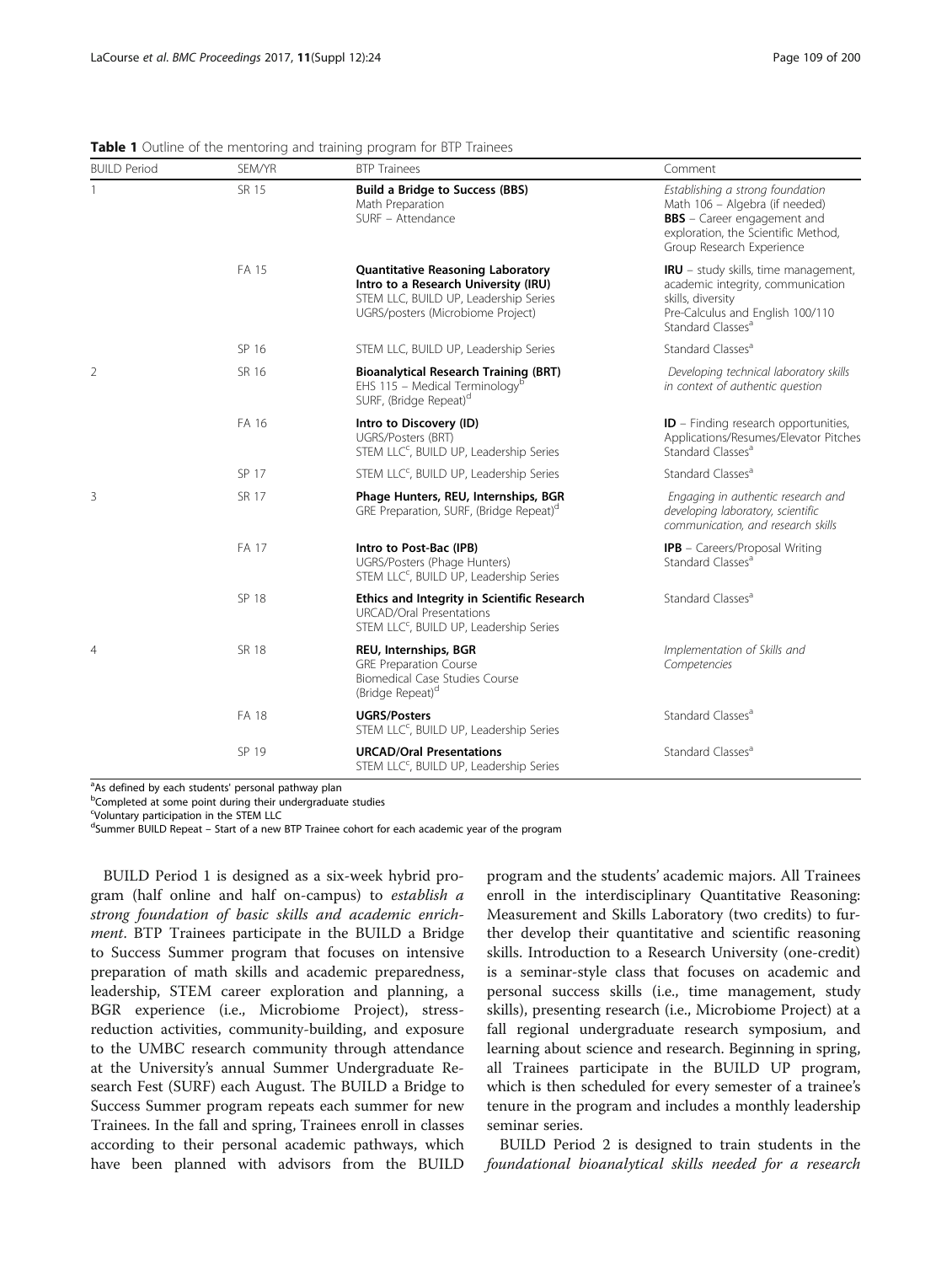| <b>BUILD Period</b> | SEM/YR       | <b>BTP Trainees</b>                                                                                                                                            | Comment                                                                                                                                                                      |
|---------------------|--------------|----------------------------------------------------------------------------------------------------------------------------------------------------------------|------------------------------------------------------------------------------------------------------------------------------------------------------------------------------|
| $\mathbf{1}$        | SR 15        | <b>Build a Bridge to Success (BBS)</b><br>Math Preparation<br>SURF - Attendance                                                                                | Establishing a strong foundation<br>Math 106 - Algebra (if needed)<br><b>BBS</b> - Career engagement and<br>exploration, the Scientific Method,<br>Group Research Experience |
|                     | FA 15        | <b>Quantitative Reasoning Laboratory</b><br>Intro to a Research University (IRU)<br>STEM LLC, BUILD UP, Leadership Series<br>UGRS/posters (Microbiome Project) | <b>IRU</b> - study skills, time management,<br>academic integrity, communication<br>skills, diversity<br>Pre-Calculus and English 100/110<br>Standard Classes <sup>a</sup>   |
|                     | SP 16        | STEM LLC, BUILD UP, Leadership Series                                                                                                                          | Standard Classes <sup>a</sup>                                                                                                                                                |
| 2                   | SR 16        | <b>Bioanalytical Research Training (BRT)</b><br>EHS 115 - Medical Terminology <sup>b</sup><br>SURF, (Bridge Repeat) <sup>d</sup>                               | Developing technical laboratory skills<br>in context of authentic question                                                                                                   |
|                     | FA 16        | Intro to Discovery (ID)<br>UGRS/Posters (BRT)<br>STEM LLC <sup>c</sup> , BUILD UP, Leadership Series                                                           | $ID$ – Finding research opportunities,<br>Applications/Resumes/Elevator Pitches<br>Standard Classes <sup>a</sup>                                                             |
|                     | SP 17        | STEM LLC <sup>c</sup> , BUILD UP, Leadership Series                                                                                                            | Standard Classes <sup>a</sup>                                                                                                                                                |
| 3                   | SR 17        | Phage Hunters, REU, Internships, BGR<br>GRE Preparation, SURF, (Bridge Repeat) <sup>d</sup>                                                                    | Engaging in authentic research and<br>developing laboratory, scientific<br>communication, and research skills                                                                |
|                     | <b>FA 17</b> | Intro to Post-Bac (IPB)<br>UGRS/Posters (Phage Hunters)<br>STEM LLC <sup>c</sup> , BUILD UP, Leadership Series                                                 | <b>IPB</b> - Careers/Proposal Writing<br>Standard Classes <sup>a</sup>                                                                                                       |
|                     | SP 18        | Ethics and Integrity in Scientific Research<br><b>URCAD/Oral Presentations</b><br>STEM LLC <sup>c</sup> , BUILD UP, Leadership Series                          | Standard Classes <sup>a</sup>                                                                                                                                                |
| $\overline{4}$      | <b>SR 18</b> | REU, Internships, BGR<br><b>GRE Preparation Course</b><br>Biomedical Case Studies Course<br>(Bridge Repeat) <sup>d</sup>                                       | Implementation of Skills and<br>Competencies                                                                                                                                 |
|                     | <b>FA 18</b> | <b>UGRS/Posters</b><br>STEM LLC <sup>c</sup> , BUILD UP, Leadership Series                                                                                     | Standard Classes <sup>a</sup>                                                                                                                                                |
|                     | SP 19        | <b>URCAD/Oral Presentations</b><br>STEM LLC <sup>c</sup> , BUILD UP, Leadership Series                                                                         | Standard Classes <sup>a</sup>                                                                                                                                                |

<span id="page-4-0"></span>Table 1 Outline of the mentoring and training program for BTP Trainees

<sup>a</sup>As defined by each students' personal pathway plan <sup>b</sup>Completed at some point during their undergraduate studies

c Voluntary participation in the STEM LLC

<sup>d</sup>Summer BUILD Repeat – Start of a new BTP Trainee cohort for each academic year of the program

BUILD Period 1 is designed as a six-week hybrid program (half online and half on-campus) to establish a strong foundation of basic skills and academic enrichment. BTP Trainees participate in the BUILD a Bridge to Success Summer program that focuses on intensive preparation of math skills and academic preparedness, leadership, STEM career exploration and planning, a BGR experience (i.e., Microbiome Project), stressreduction activities, community-building, and exposure to the UMBC research community through attendance at the University's annual Summer Undergraduate Research Fest (SURF) each August. The BUILD a Bridge to Success Summer program repeats each summer for new Trainees. In the fall and spring, Trainees enroll in classes according to their personal academic pathways, which have been planned with advisors from the BUILD

program and the students' academic majors. All Trainees enroll in the interdisciplinary Quantitative Reasoning: Measurement and Skills Laboratory (two credits) to further develop their quantitative and scientific reasoning skills. Introduction to a Research University (one-credit) is a seminar-style class that focuses on academic and personal success skills (i.e., time management, study skills), presenting research (i.e., Microbiome Project) at a fall regional undergraduate research symposium, and learning about science and research. Beginning in spring, all Trainees participate in the BUILD UP program, which is then scheduled for every semester of a trainee's tenure in the program and includes a monthly leadership seminar series.

BUILD Period 2 is designed to train students in the foundational bioanalytical skills needed for a research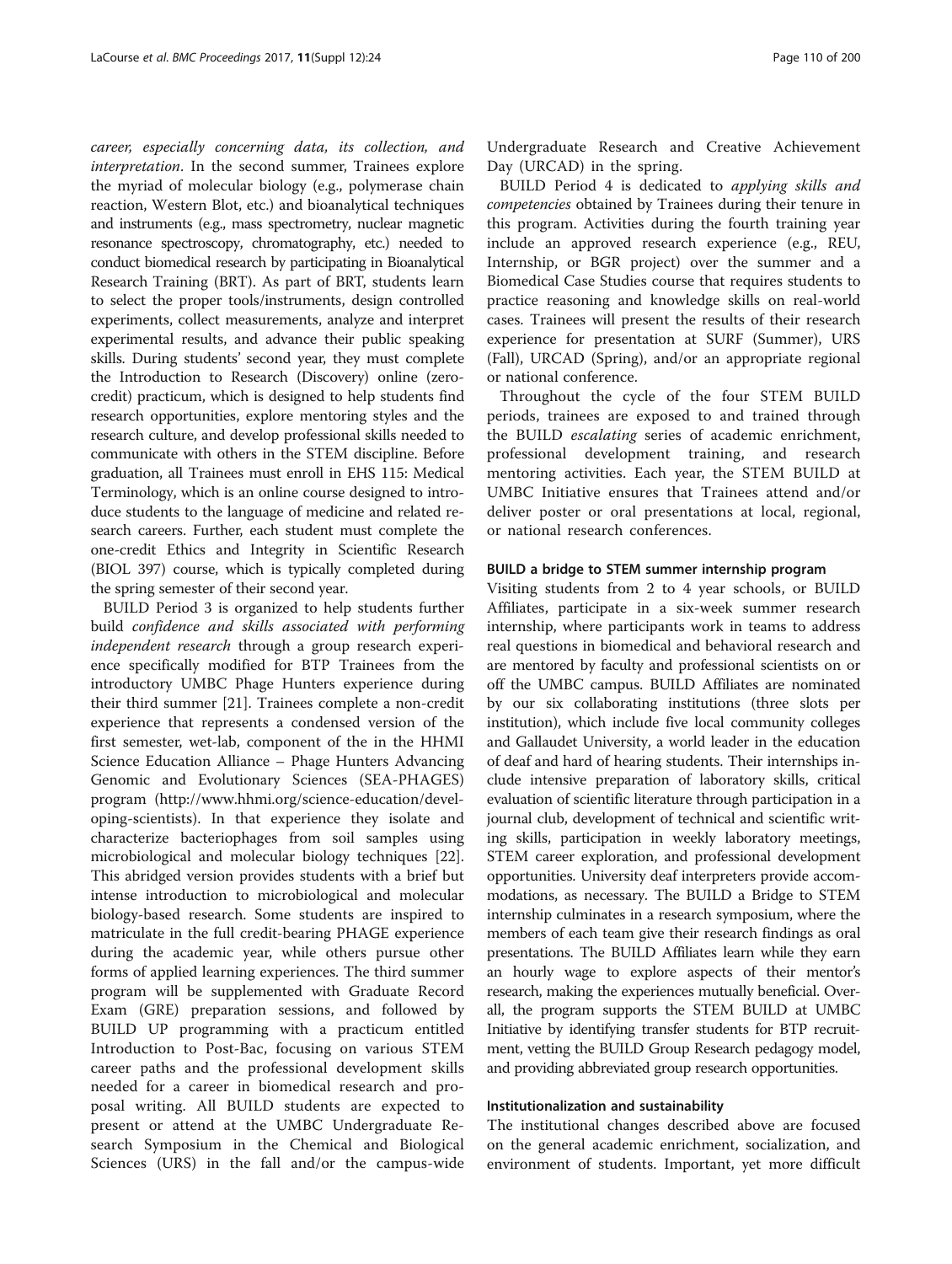career, especially concerning data, its collection, and interpretation. In the second summer, Trainees explore the myriad of molecular biology (e.g., polymerase chain reaction, Western Blot, etc.) and bioanalytical techniques and instruments (e.g., mass spectrometry, nuclear magnetic resonance spectroscopy, chromatography, etc.) needed to conduct biomedical research by participating in Bioanalytical Research Training (BRT). As part of BRT, students learn to select the proper tools/instruments, design controlled experiments, collect measurements, analyze and interpret experimental results, and advance their public speaking skills. During students' second year, they must complete the Introduction to Research (Discovery) online (zerocredit) practicum, which is designed to help students find research opportunities, explore mentoring styles and the research culture, and develop professional skills needed to communicate with others in the STEM discipline. Before graduation, all Trainees must enroll in EHS 115: Medical Terminology, which is an online course designed to introduce students to the language of medicine and related research careers. Further, each student must complete the one-credit Ethics and Integrity in Scientific Research (BIOL 397) course, which is typically completed during the spring semester of their second year.

BUILD Period 3 is organized to help students further build confidence and skills associated with performing independent research through a group research experience specifically modified for BTP Trainees from the introductory UMBC Phage Hunters experience during their third summer [\[21](#page-10-0)]. Trainees complete a non-credit experience that represents a condensed version of the first semester, wet-lab, component of the in the HHMI Science Education Alliance – Phage Hunters Advancing Genomic and Evolutionary Sciences (SEA-PHAGES) program ([http://www.hhmi.org/science-education/devel](http://www.hhmi.org/science-education/developing-scientists)[oping-scientists](http://www.hhmi.org/science-education/developing-scientists)). In that experience they isolate and characterize bacteriophages from soil samples using microbiological and molecular biology techniques [\[22](#page-10-0)]. This abridged version provides students with a brief but intense introduction to microbiological and molecular biology-based research. Some students are inspired to matriculate in the full credit-bearing PHAGE experience during the academic year, while others pursue other forms of applied learning experiences. The third summer program will be supplemented with Graduate Record Exam (GRE) preparation sessions, and followed by BUILD UP programming with a practicum entitled Introduction to Post-Bac, focusing on various STEM career paths and the professional development skills needed for a career in biomedical research and proposal writing. All BUILD students are expected to present or attend at the UMBC Undergraduate Research Symposium in the Chemical and Biological Sciences (URS) in the fall and/or the campus-wide

Undergraduate Research and Creative Achievement Day (URCAD) in the spring.

BUILD Period 4 is dedicated to applying skills and competencies obtained by Trainees during their tenure in this program. Activities during the fourth training year include an approved research experience (e.g., REU, Internship, or BGR project) over the summer and a Biomedical Case Studies course that requires students to practice reasoning and knowledge skills on real-world cases. Trainees will present the results of their research experience for presentation at SURF (Summer), URS (Fall), URCAD (Spring), and/or an appropriate regional or national conference.

Throughout the cycle of the four STEM BUILD periods, trainees are exposed to and trained through the BUILD escalating series of academic enrichment, professional development training, and research mentoring activities. Each year, the STEM BUILD at UMBC Initiative ensures that Trainees attend and/or deliver poster or oral presentations at local, regional, or national research conferences.

#### BUILD a bridge to STEM summer internship program

Visiting students from 2 to 4 year schools, or BUILD Affiliates, participate in a six-week summer research internship, where participants work in teams to address real questions in biomedical and behavioral research and are mentored by faculty and professional scientists on or off the UMBC campus. BUILD Affiliates are nominated by our six collaborating institutions (three slots per institution), which include five local community colleges and Gallaudet University, a world leader in the education of deaf and hard of hearing students. Their internships include intensive preparation of laboratory skills, critical evaluation of scientific literature through participation in a journal club, development of technical and scientific writing skills, participation in weekly laboratory meetings, STEM career exploration, and professional development opportunities. University deaf interpreters provide accommodations, as necessary. The BUILD a Bridge to STEM internship culminates in a research symposium, where the members of each team give their research findings as oral presentations. The BUILD Affiliates learn while they earn an hourly wage to explore aspects of their mentor's research, making the experiences mutually beneficial. Overall, the program supports the STEM BUILD at UMBC Initiative by identifying transfer students for BTP recruitment, vetting the BUILD Group Research pedagogy model, and providing abbreviated group research opportunities.

#### Institutionalization and sustainability

The institutional changes described above are focused on the general academic enrichment, socialization, and environment of students. Important, yet more difficult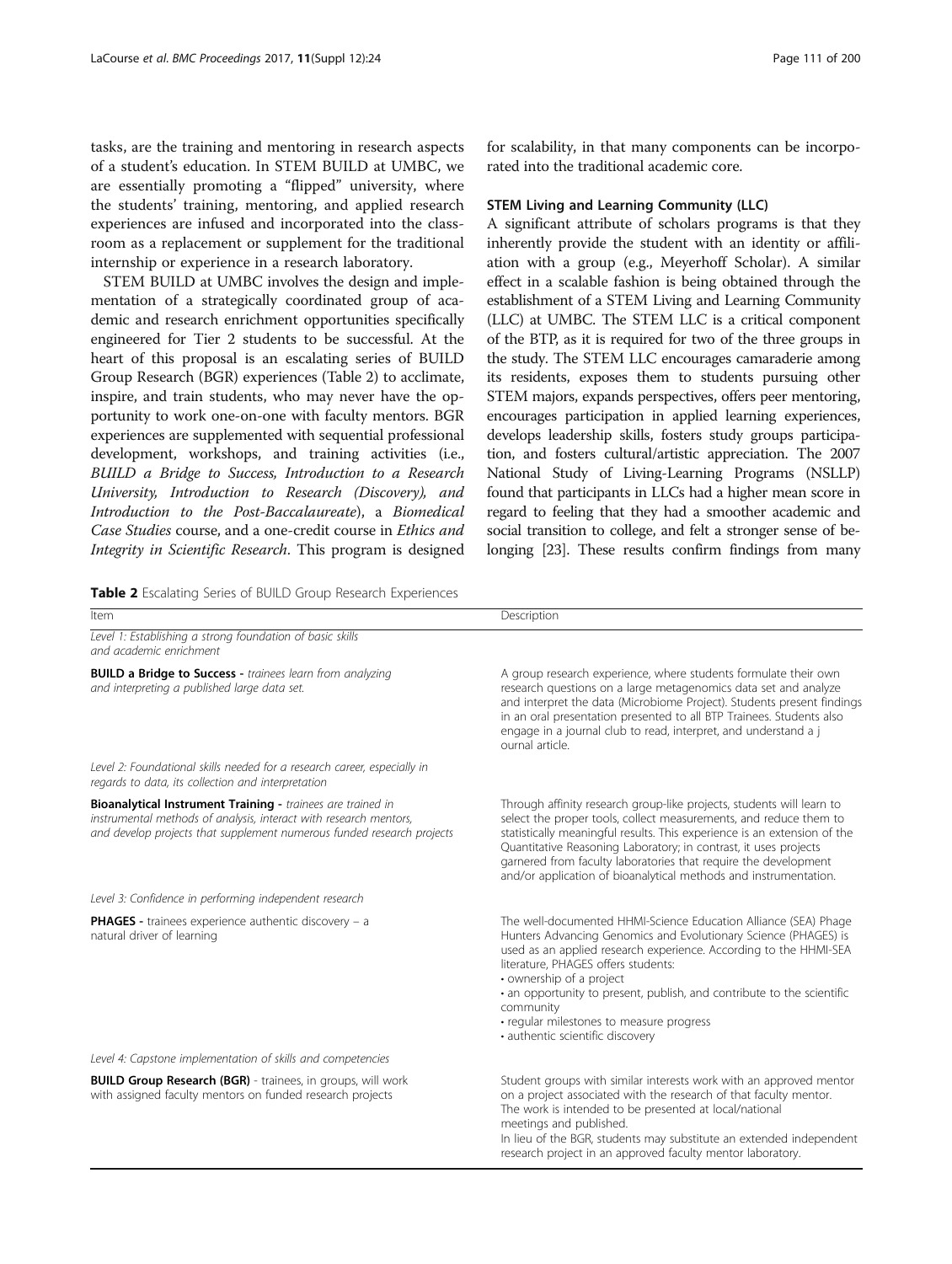tasks, are the training and mentoring in research aspects of a student's education. In STEM BUILD at UMBC, we are essentially promoting a "flipped" university, where the students' training, mentoring, and applied research experiences are infused and incorporated into the classroom as a replacement or supplement for the traditional internship or experience in a research laboratory.

STEM BUILD at UMBC involves the design and implementation of a strategically coordinated group of academic and research enrichment opportunities specifically engineered for Tier 2 students to be successful. At the heart of this proposal is an escalating series of BUILD Group Research (BGR) experiences (Table 2) to acclimate, inspire, and train students, who may never have the opportunity to work one-on-one with faculty mentors. BGR experiences are supplemented with sequential professional development, workshops, and training activities (i.e., BUILD a Bridge to Success, Introduction to a Research University, Introduction to Research (Discovery), and Introduction to the Post-Baccalaureate), a Biomedical Case Studies course, and a one-credit course in Ethics and Integrity in Scientific Research. This program is designed

Table 2 Escalating Series of BUILD Group Research Experiences

| Item                                                                                                                                                                                                       | Description                                                                                                                                                                                                                                                                                                                                                                                                                                       |  |
|------------------------------------------------------------------------------------------------------------------------------------------------------------------------------------------------------------|---------------------------------------------------------------------------------------------------------------------------------------------------------------------------------------------------------------------------------------------------------------------------------------------------------------------------------------------------------------------------------------------------------------------------------------------------|--|
|                                                                                                                                                                                                            |                                                                                                                                                                                                                                                                                                                                                                                                                                                   |  |
| Level 1: Establishing a strong foundation of basic skills<br>and academic enrichment                                                                                                                       |                                                                                                                                                                                                                                                                                                                                                                                                                                                   |  |
| <b>BUILD a Bridge to Success -</b> trainees learn from analyzing<br>and interpreting a published large data set.                                                                                           | A group research experience, where students formulate their own<br>research questions on a large metagenomics data set and analyze<br>and interpret the data (Microbiome Project). Students present findings<br>in an oral presentation presented to all BTP Trainees. Students also<br>engage in a journal club to read, interpret, and understand a j<br>ournal article.                                                                        |  |
| Level 2: Foundational skills needed for a research career, especially in<br>regards to data, its collection and interpretation                                                                             |                                                                                                                                                                                                                                                                                                                                                                                                                                                   |  |
| Bioanalytical Instrument Training - trainees are trained in<br>instrumental methods of analysis, interact with research mentors,<br>and develop projects that supplement numerous funded research projects | Through affinity research group-like projects, students will learn to<br>select the proper tools, collect measurements, and reduce them to<br>statistically meaningful results. This experience is an extension of the<br>Quantitative Reasoning Laboratory; in contrast, it uses projects<br>garnered from faculty laboratories that require the development<br>and/or application of bioanalytical methods and instrumentation.                 |  |
| Level 3: Confidence in performing independent research                                                                                                                                                     |                                                                                                                                                                                                                                                                                                                                                                                                                                                   |  |
| <b>PHAGES</b> - trainees experience authentic discovery - a<br>natural driver of learning                                                                                                                  | The well-documented HHMI-Science Education Alliance (SEA) Phage<br>Hunters Advancing Genomics and Evolutionary Science (PHAGES) is<br>used as an applied research experience. According to the HHMI-SEA<br>literature, PHAGES offers students:<br>• ownership of a project<br>• an opportunity to present, publish, and contribute to the scientific<br>community<br>• regular milestones to measure progress<br>• authentic scientific discovery |  |
| Level 4: Capstone implementation of skills and competencies                                                                                                                                                |                                                                                                                                                                                                                                                                                                                                                                                                                                                   |  |
| <b>BUILD Group Research (BGR)</b> - trainees, in groups, will work<br>with assigned faculty mentors on funded research projects                                                                            | Student groups with similar interests work with an approved mentor<br>on a project associated with the research of that faculty mentor.<br>The work is intended to be presented at local/national<br>meetings and published.<br>In lieu of the BGR, students may substitute an extended independent                                                                                                                                               |  |

for scalability, in that many components can be incorporated into the traditional academic core.

#### STEM Living and Learning Community (LLC)

A significant attribute of scholars programs is that they inherently provide the student with an identity or affiliation with a group (e.g., Meyerhoff Scholar). A similar effect in a scalable fashion is being obtained through the establishment of a STEM Living and Learning Community (LLC) at UMBC. The STEM LLC is a critical component of the BTP, as it is required for two of the three groups in the study. The STEM LLC encourages camaraderie among its residents, exposes them to students pursuing other STEM majors, expands perspectives, offers peer mentoring, encourages participation in applied learning experiences, develops leadership skills, fosters study groups participation, and fosters cultural/artistic appreciation. The 2007 National Study of Living-Learning Programs (NSLLP) found that participants in LLCs had a higher mean score in regard to feeling that they had a smoother academic and social transition to college, and felt a stronger sense of belonging [\[23](#page-10-0)]. These results confirm findings from many

research project in an approved faculty mentor laboratory.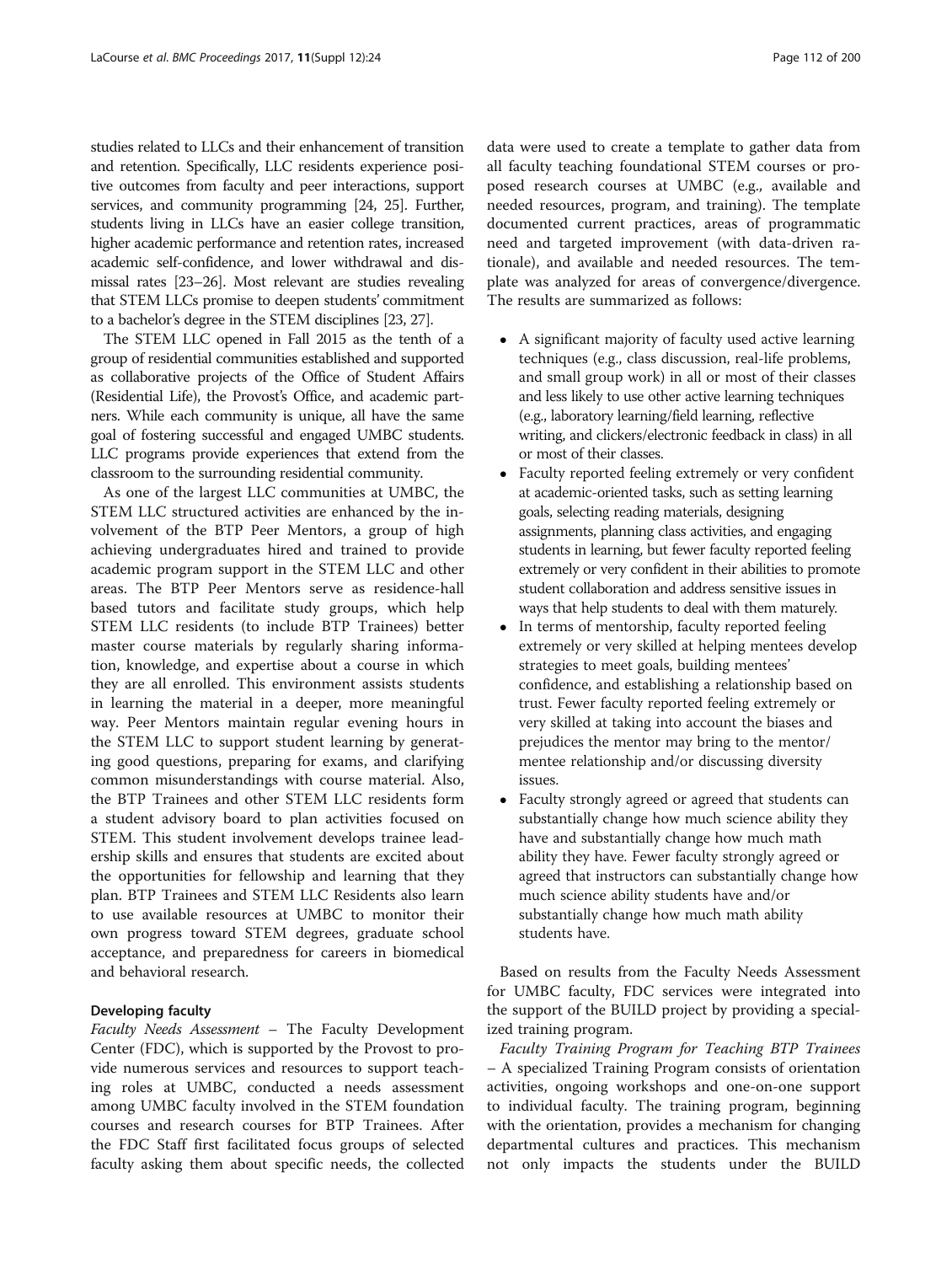studies related to LLCs and their enhancement of transition and retention. Specifically, LLC residents experience positive outcomes from faculty and peer interactions, support services, and community programming [\[24, 25\]](#page-10-0). Further, students living in LLCs have an easier college transition, higher academic performance and retention rates, increased academic self-confidence, and lower withdrawal and dismissal rates [[23](#page-10-0)–[26](#page-10-0)]. Most relevant are studies revealing that STEM LLCs promise to deepen students' commitment to a bachelor's degree in the STEM disciplines [\[23](#page-10-0), [27](#page-10-0)].

The STEM LLC opened in Fall 2015 as the tenth of a group of residential communities established and supported as collaborative projects of the Office of Student Affairs (Residential Life), the Provost's Office, and academic partners. While each community is unique, all have the same goal of fostering successful and engaged UMBC students. LLC programs provide experiences that extend from the classroom to the surrounding residential community.

As one of the largest LLC communities at UMBC, the STEM LLC structured activities are enhanced by the involvement of the BTP Peer Mentors, a group of high achieving undergraduates hired and trained to provide academic program support in the STEM LLC and other areas. The BTP Peer Mentors serve as residence-hall based tutors and facilitate study groups, which help STEM LLC residents (to include BTP Trainees) better master course materials by regularly sharing information, knowledge, and expertise about a course in which they are all enrolled. This environment assists students in learning the material in a deeper, more meaningful way. Peer Mentors maintain regular evening hours in the STEM LLC to support student learning by generating good questions, preparing for exams, and clarifying common misunderstandings with course material. Also, the BTP Trainees and other STEM LLC residents form a student advisory board to plan activities focused on STEM. This student involvement develops trainee leadership skills and ensures that students are excited about the opportunities for fellowship and learning that they plan. BTP Trainees and STEM LLC Residents also learn to use available resources at UMBC to monitor their own progress toward STEM degrees, graduate school acceptance, and preparedness for careers in biomedical and behavioral research.

#### Developing faculty

Faculty Needs Assessment – The Faculty Development Center (FDC), which is supported by the Provost to provide numerous services and resources to support teaching roles at UMBC, conducted a needs assessment among UMBC faculty involved in the STEM foundation courses and research courses for BTP Trainees. After the FDC Staff first facilitated focus groups of selected faculty asking them about specific needs, the collected

data were used to create a template to gather data from all faculty teaching foundational STEM courses or proposed research courses at UMBC (e.g., available and needed resources, program, and training). The template documented current practices, areas of programmatic need and targeted improvement (with data-driven rationale), and available and needed resources. The template was analyzed for areas of convergence/divergence. The results are summarized as follows:

- A significant majority of faculty used active learning techniques (e.g., class discussion, real-life problems, and small group work) in all or most of their classes and less likely to use other active learning techniques (e.g., laboratory learning/field learning, reflective writing, and clickers/electronic feedback in class) in all or most of their classes.
- Faculty reported feeling extremely or very confident at academic-oriented tasks, such as setting learning goals, selecting reading materials, designing assignments, planning class activities, and engaging students in learning, but fewer faculty reported feeling extremely or very confident in their abilities to promote student collaboration and address sensitive issues in ways that help students to deal with them maturely.
- In terms of mentorship, faculty reported feeling extremely or very skilled at helping mentees develop strategies to meet goals, building mentees' confidence, and establishing a relationship based on trust. Fewer faculty reported feeling extremely or very skilled at taking into account the biases and prejudices the mentor may bring to the mentor/ mentee relationship and/or discussing diversity issues.
- Faculty strongly agreed or agreed that students can substantially change how much science ability they have and substantially change how much math ability they have. Fewer faculty strongly agreed or agreed that instructors can substantially change how much science ability students have and/or substantially change how much math ability students have.

Based on results from the Faculty Needs Assessment for UMBC faculty, FDC services were integrated into the support of the BUILD project by providing a specialized training program.

Faculty Training Program for Teaching BTP Trainees – A specialized Training Program consists of orientation activities, ongoing workshops and one-on-one support to individual faculty. The training program, beginning with the orientation, provides a mechanism for changing departmental cultures and practices. This mechanism not only impacts the students under the BUILD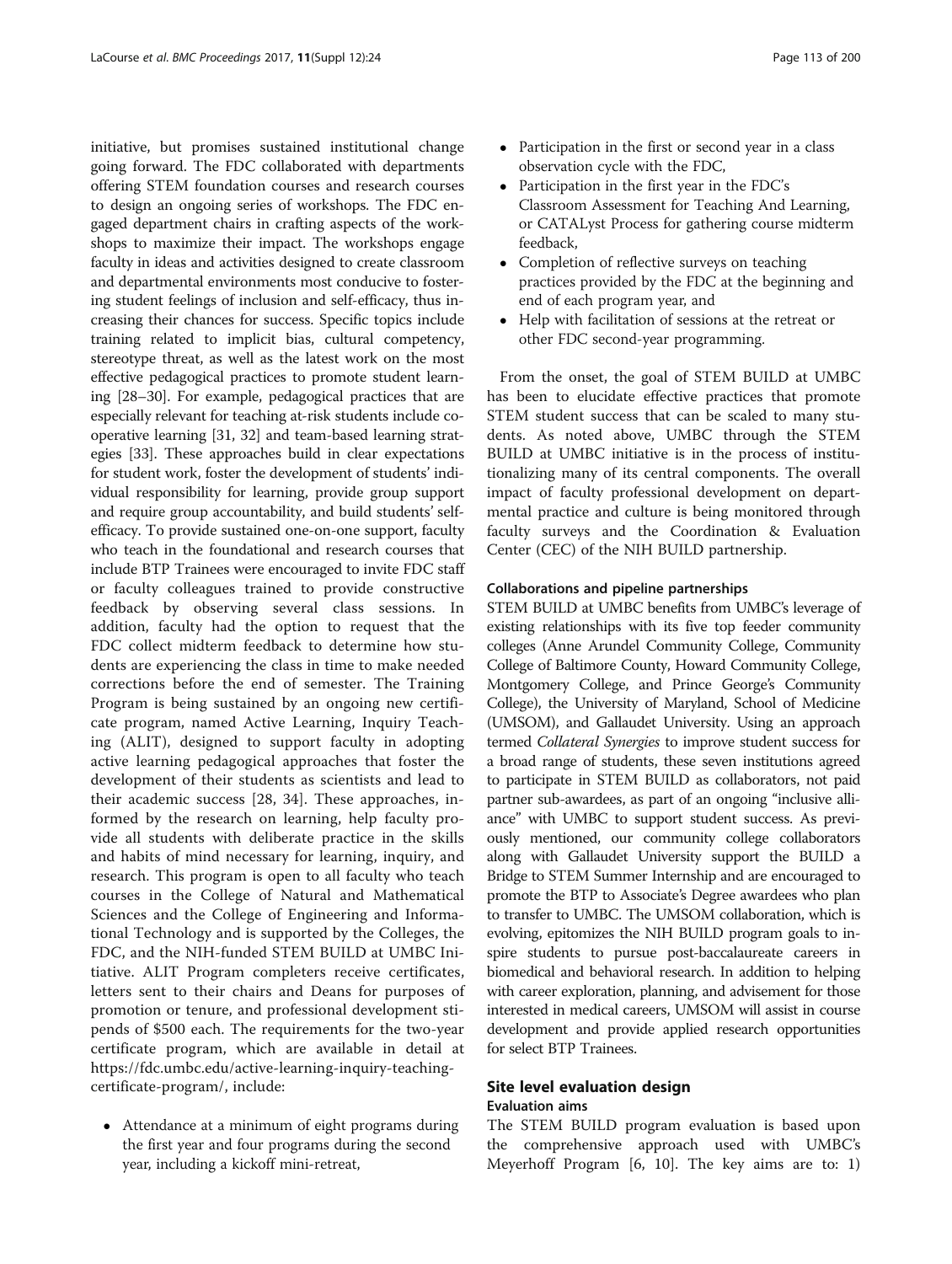initiative, but promises sustained institutional change going forward. The FDC collaborated with departments offering STEM foundation courses and research courses to design an ongoing series of workshops. The FDC engaged department chairs in crafting aspects of the workshops to maximize their impact. The workshops engage faculty in ideas and activities designed to create classroom and departmental environments most conducive to fostering student feelings of inclusion and self-efficacy, thus increasing their chances for success. Specific topics include training related to implicit bias, cultural competency, stereotype threat, as well as the latest work on the most effective pedagogical practices to promote student learning [\[28](#page-10-0)–[30](#page-10-0)]. For example, pedagogical practices that are especially relevant for teaching at-risk students include cooperative learning [\[31](#page-10-0), [32](#page-10-0)] and team-based learning strategies [[33](#page-10-0)]. These approaches build in clear expectations for student work, foster the development of students' individual responsibility for learning, provide group support and require group accountability, and build students' selfefficacy. To provide sustained one-on-one support, faculty who teach in the foundational and research courses that include BTP Trainees were encouraged to invite FDC staff or faculty colleagues trained to provide constructive feedback by observing several class sessions. In addition, faculty had the option to request that the FDC collect midterm feedback to determine how students are experiencing the class in time to make needed corrections before the end of semester. The Training Program is being sustained by an ongoing new certificate program, named Active Learning, Inquiry Teaching (ALIT), designed to support faculty in adopting active learning pedagogical approaches that foster the development of their students as scientists and lead to their academic success [[28, 34](#page-10-0)]. These approaches, informed by the research on learning, help faculty provide all students with deliberate practice in the skills and habits of mind necessary for learning, inquiry, and research. This program is open to all faculty who teach courses in the College of Natural and Mathematical Sciences and the College of Engineering and Informational Technology and is supported by the Colleges, the FDC, and the NIH-funded STEM BUILD at UMBC Initiative. ALIT Program completers receive certificates, letters sent to their chairs and Deans for purposes of promotion or tenure, and professional development stipends of \$500 each. The requirements for the two-year certificate program, which are available in detail at [https://fdc.umbc.edu/active-learning-inquiry-teaching](https://fdc.umbc.edu/active-learning-inquiry-teaching-certificate-program/)[certificate-program/,](https://fdc.umbc.edu/active-learning-inquiry-teaching-certificate-program/) include:

 Attendance at a minimum of eight programs during the first year and four programs during the second year, including a kickoff mini-retreat,

- Participation in the first or second year in a class observation cycle with the FDC,
- Participation in the first year in the FDC's Classroom Assessment for Teaching And Learning, or CATALyst Process for gathering course midterm feedback,
- Completion of reflective surveys on teaching practices provided by the FDC at the beginning and end of each program year, and
- Help with facilitation of sessions at the retreat or other FDC second-year programming.

From the onset, the goal of STEM BUILD at UMBC has been to elucidate effective practices that promote STEM student success that can be scaled to many students. As noted above, UMBC through the STEM BUILD at UMBC initiative is in the process of institutionalizing many of its central components. The overall impact of faculty professional development on departmental practice and culture is being monitored through faculty surveys and the Coordination & Evaluation Center (CEC) of the NIH BUILD partnership.

#### Collaborations and pipeline partnerships

STEM BUILD at UMBC benefits from UMBC's leverage of existing relationships with its five top feeder community colleges (Anne Arundel Community College, Community College of Baltimore County, Howard Community College, Montgomery College, and Prince George's Community College), the University of Maryland, School of Medicine (UMSOM), and Gallaudet University. Using an approach termed Collateral Synergies to improve student success for a broad range of students, these seven institutions agreed to participate in STEM BUILD as collaborators, not paid partner sub-awardees, as part of an ongoing "inclusive alliance" with UMBC to support student success. As previously mentioned, our community college collaborators along with Gallaudet University support the BUILD a Bridge to STEM Summer Internship and are encouraged to promote the BTP to Associate's Degree awardees who plan to transfer to UMBC. The UMSOM collaboration, which is evolving, epitomizes the NIH BUILD program goals to inspire students to pursue post-baccalaureate careers in biomedical and behavioral research. In addition to helping with career exploration, planning, and advisement for those interested in medical careers, UMSOM will assist in course development and provide applied research opportunities for select BTP Trainees.

#### Site level evaluation design Evaluation aims

The STEM BUILD program evaluation is based upon the comprehensive approach used with UMBC's Meyerhoff Program [[6, 10](#page-10-0)]. The key aims are to: 1)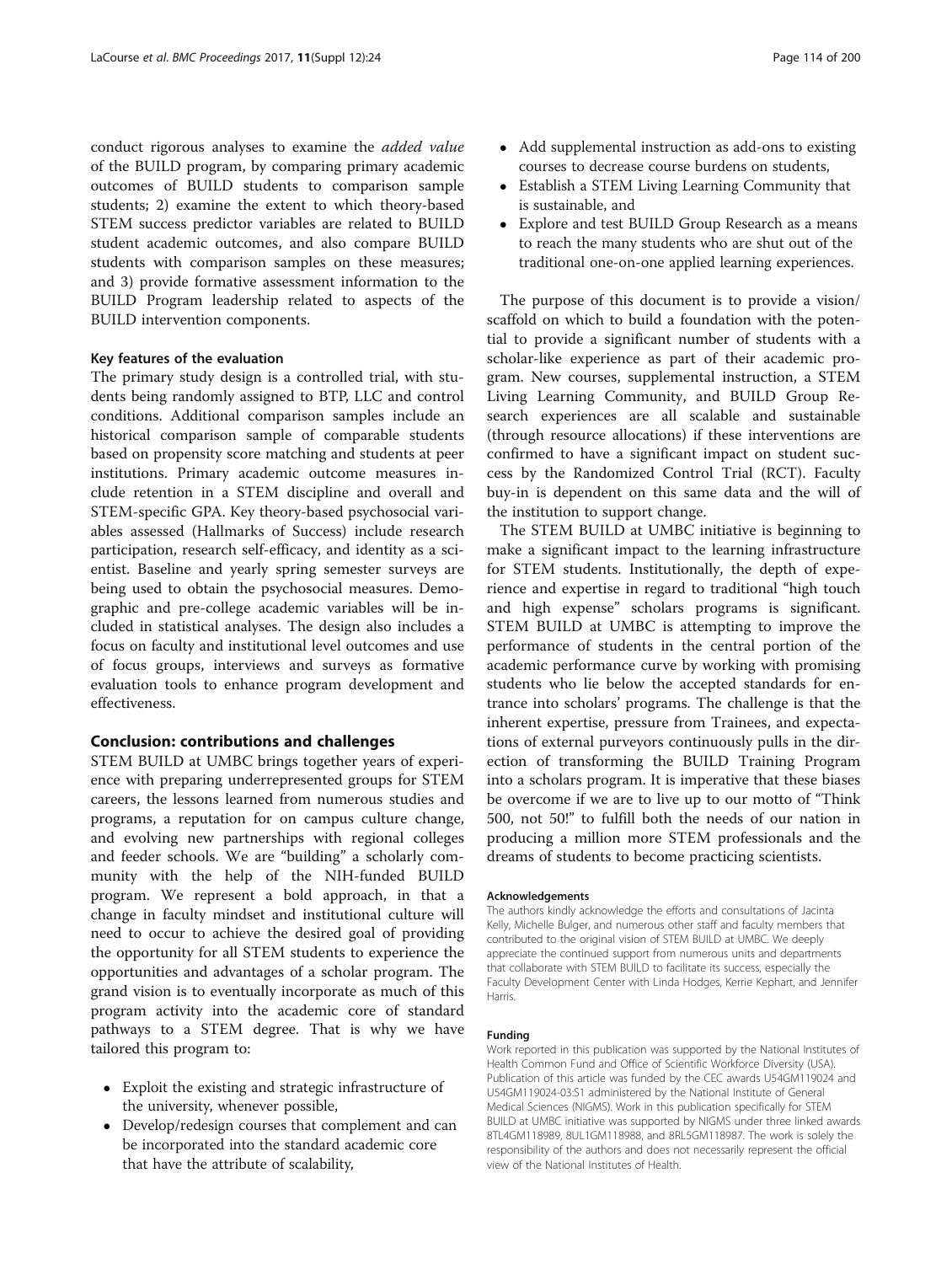conduct rigorous analyses to examine the added value of the BUILD program, by comparing primary academic outcomes of BUILD students to comparison sample students; 2) examine the extent to which theory-based STEM success predictor variables are related to BUILD student academic outcomes, and also compare BUILD students with comparison samples on these measures; and 3) provide formative assessment information to the BUILD Program leadership related to aspects of the BUILD intervention components.

#### Key features of the evaluation

The primary study design is a controlled trial, with students being randomly assigned to BTP, LLC and control conditions. Additional comparison samples include an historical comparison sample of comparable students based on propensity score matching and students at peer institutions. Primary academic outcome measures include retention in a STEM discipline and overall and STEM-specific GPA. Key theory-based psychosocial variables assessed (Hallmarks of Success) include research participation, research self-efficacy, and identity as a scientist. Baseline and yearly spring semester surveys are being used to obtain the psychosocial measures. Demographic and pre-college academic variables will be included in statistical analyses. The design also includes a focus on faculty and institutional level outcomes and use of focus groups, interviews and surveys as formative evaluation tools to enhance program development and effectiveness.

#### Conclusion: contributions and challenges

STEM BUILD at UMBC brings together years of experience with preparing underrepresented groups for STEM careers, the lessons learned from numerous studies and programs, a reputation for on campus culture change, and evolving new partnerships with regional colleges and feeder schools. We are "building" a scholarly community with the help of the NIH-funded BUILD program. We represent a bold approach, in that a change in faculty mindset and institutional culture will need to occur to achieve the desired goal of providing the opportunity for all STEM students to experience the opportunities and advantages of a scholar program. The grand vision is to eventually incorporate as much of this program activity into the academic core of standard pathways to a STEM degree. That is why we have tailored this program to:

- Exploit the existing and strategic infrastructure of the university, whenever possible,
- Develop/redesign courses that complement and can be incorporated into the standard academic core that have the attribute of scalability,
- Add supplemental instruction as add-ons to existing courses to decrease course burdens on students,
- Establish a STEM Living Learning Community that is sustainable, and
- Explore and test BUILD Group Research as a means to reach the many students who are shut out of the traditional one-on-one applied learning experiences.

The purpose of this document is to provide a vision/ scaffold on which to build a foundation with the potential to provide a significant number of students with a scholar-like experience as part of their academic program. New courses, supplemental instruction, a STEM Living Learning Community, and BUILD Group Research experiences are all scalable and sustainable (through resource allocations) if these interventions are confirmed to have a significant impact on student success by the Randomized Control Trial (RCT). Faculty buy-in is dependent on this same data and the will of the institution to support change.

The STEM BUILD at UMBC initiative is beginning to make a significant impact to the learning infrastructure for STEM students. Institutionally, the depth of experience and expertise in regard to traditional "high touch and high expense" scholars programs is significant. STEM BUILD at UMBC is attempting to improve the performance of students in the central portion of the academic performance curve by working with promising students who lie below the accepted standards for entrance into scholars' programs. The challenge is that the inherent expertise, pressure from Trainees, and expectations of external purveyors continuously pulls in the direction of transforming the BUILD Training Program into a scholars program. It is imperative that these biases be overcome if we are to live up to our motto of "Think 500, not 50!" to fulfill both the needs of our nation in producing a million more STEM professionals and the dreams of students to become practicing scientists.

#### Acknowledgements

The authors kindly acknowledge the efforts and consultations of Jacinta Kelly, Michelle Bulger, and numerous other staff and faculty members that contributed to the original vision of STEM BUILD at UMBC. We deeply appreciate the continued support from numerous units and departments that collaborate with STEM BUILD to facilitate its success, especially the Faculty Development Center with Linda Hodges, Kerrie Kephart, and Jennifer Harris.

#### Funding

Work reported in this publication was supported by the National Institutes of Health Common Fund and Office of Scientific Workforce Diversity (USA). Publication of this article was funded by the CEC awards U54GM119024 and U54GM119024-03:S1 administered by the National Institute of General Medical Sciences (NIGMS). Work in this publication specifically for STEM BUILD at UMBC initiative was supported by NIGMS under three linked awards 8TL4GM118989, 8UL1GM118988, and 8RL5GM118987. The work is solely the responsibility of the authors and does not necessarily represent the official view of the National Institutes of Health.